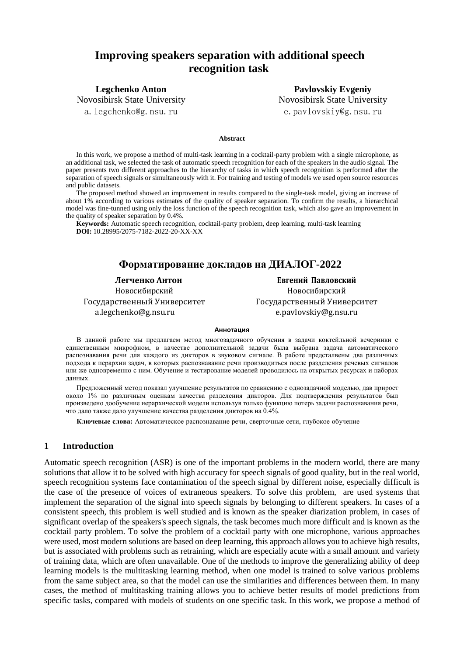# **Improving speakers separation with additional speech recognition task**

**Legchenko Anton** Novosibirsk State University

a.legchenko@g.nsu.ru

**Pavlovskiy Evgeniy** Novosibirsk State University e.pavlovskiy@g.nsu.ru

#### **Abstract**

In this work, we propose a method of multi-task learning in a cocktail-party problem with a single microphone, as an additional task, we selected the task of automatic speech recognition for each of the speakers in the audio signal. The paper presents two different approaches to the hierarchy of tasks in which speech recognition is performed after the separation of speech signals or simultaneously with it. For training and testing of models we used open source resources and public datasets.

The proposed method showed an improvement in results compared to the single-task model, giving an increase of about 1% according to various estimates of the quality of speaker separation. To confirm the results, a hierarchical model was fine-tunned using only the loss function of the speech recognition task, which also gave an improvement in the quality of speaker separation by 0.4%.

**Keywords:** Automatic speech recognition, cocktail-party problem, deep learning, multi-task learning **DOI:** 10.28995/2075-7182-2022-20-XX-XX

## **Форматирование докладов на ДИАЛОГ-2022**

**Легченко Антон Евгений Павловский** Новосибирский Новосибирский Государственный Университет Государственный Университет a.legchenko@g.nsu.ru [e.pavlovskiy@g.nsu.ru](mailto:e.pavlovskiy@g.nsu.ru)

#### **Аннотация**

В данной работе мы предлагаем метод многозадачного обучения в задачи коктейльной вечеринки с единственным микрофном, в качестве дополнительной задачи была выбрана задача автоматического распознавания речи для каждого из дикторов в звуковом сигнале. В работе предсталвены два различных подхода к иерархии задач, в которых распознавание речи производиться после разделения речевых сигналов или же одновременно с ним. Обучение и тестирование моделей проводилось на открытых ресурсах и наборах данных.

Предложенный метод показал улучшение результатов по сравнению с однозадачной моделью, дав прирост около 1% по различным оценкам качества разделения дикторов. Для подтверждения результатов был произведено дообучение иерархической модели используя только функцию потерь задачи распознавания речи, что дало также дало улучшение качества разделения дикторов на 0.4%.

**Ключевые слова:** Автоматическое распознавание речи, сверточные сети, глубокое обучение

## **1 Introduction**

Automatic speech recognition (ASR) is one of the important problems in the modern world, there are many solutions that allow it to be solved with high accuracy for speech signals of good quality, but in the real world, speech recognition systems face contamination of the speech signal by different noise, especially difficult is the case of the presence of voices of extraneous speakers. To solve this problem, are used systems that implement the separation of the signal into speech signals by belonging to different speakers. In cases of a consistent speech, this problem is well studied and is known as the speaker diarization problem, in cases of significant overlap of the speakers's speech signals, the task becomes much more difficult and is known as the cocktail party problem. To solve the problem of a cocktail party with one microphone, various approaches were used, most modern solutions are based on deep learning, this approach allows you to achieve high results, but is associated with problems such as retraining, which are especially acute with a small amount and variety of training data, which are often unavailable. One of the methods to improve the generalizing ability of deep learning models is the multitasking learning method, when one model is trained to solve various problems from the same subject area, so that the model can use the similarities and differences between them. In many cases, the method of multitasking training allows you to achieve better results of model predictions from specific tasks, compared with models of students on one specific task. In this work, we propose a method of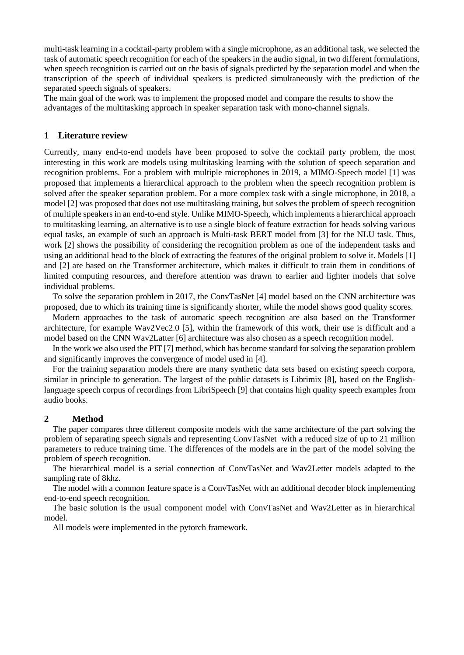multi-task learning in a cocktail-party problem with a single microphone, as an additional task, we selected the task of automatic speech recognition for each of the speakers in the audio signal, in two different formulations, when speech recognition is carried out on the basis of signals predicted by the separation model and when the transcription of the speech of individual speakers is predicted simultaneously with the prediction of the separated speech signals of speakers.

The main goal of the work was to implement the proposed model and compare the results to show the advantages of the multitasking approach in speaker separation task with mono-channel signals.

## **1 Literature review**

Currently, many end-to-end models have been proposed to solve the cocktail party problem, the most interesting in this work are models using multitasking learning with the solution of speech separation and recognition problems. For a problem with multiple microphones in 2019, a MIMO-Speech model [1] was proposed that implements a hierarchical approach to the problem when the speech recognition problem is solved after the speaker separation problem. For a more complex task with a single microphone, in 2018, a model [2] was proposed that does not use multitasking training, but solves the problem of speech recognition of multiple speakers in an end-to-end style. Unlike MIMO-Speech, which implements a hierarchical approach to multitasking learning, an alternative is to use a single block of feature extraction for heads solving various equal tasks, an example of such an approach is Multi-task BERT model from [3] for the NLU task. Thus, work [2] shows the possibility of considering the recognition problem as one of the independent tasks and using an additional head to the block of extracting the features of the original problem to solve it. Models [1] and [2] are based on the Transformer architecture, which makes it difficult to train them in conditions of limited computing resources, and therefore attention was drawn to earlier and lighter models that solve individual problems.

To solve the separation problem in 2017, the ConvTasNet [4] model based on the CNN architecture was proposed, due to which its training time is significantly shorter, while the model shows good quality scores.

Modern approaches to the task of automatic speech recognition are also based on the Transformer architecture, for example Wav2Vec2.0 [5], within the framework of this work, their use is difficult and a model based on the CNN Wav2Latter [6] architecture was also chosen as a speech recognition model.

In the work we also used the PIT [7] method, which has become standard for solving the separation problem and significantly improves the convergence of model used in [4].

For the training separation models there are many synthetic data sets based on existing speech corpora, similar in principle to generation. The largest of the public datasets is Librimix [8], based on the Englishlanguage speech corpus of recordings from LibriSpeech [9] that contains high quality speech examples from audio books.

### **2 Method**

The paper compares three different composite models with the same architecture of the part solving the problem of separating speech signals and representing ConvTasNet with a reduced size of up to 21 million parameters to reduce training time. The differences of the models are in the part of the model solving the problem of speech recognition.

The hierarchical model is a serial connection of ConvTasNet and Wav2Letter models adapted to the sampling rate of 8khz.

The model with a common feature space is a ConvTasNet with an additional decoder block implementing end-to-end speech recognition.

The basic solution is the usual component model with ConvTasNet and Wav2Letter as in hierarchical model.

All models were implemented in the pytorch framework.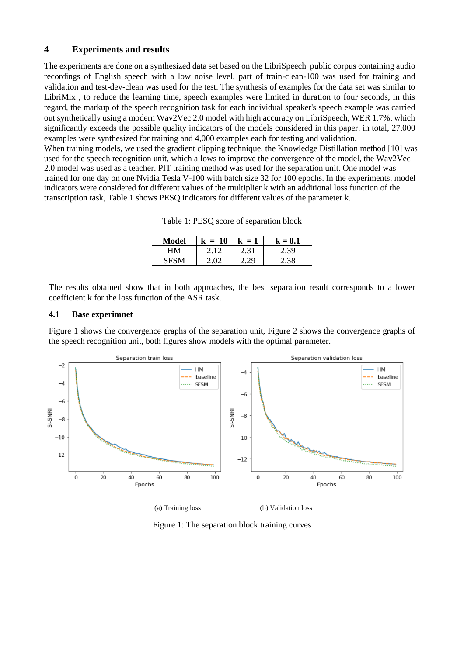## **4 Experiments and results**

The experiments are done on a synthesized data set based on the LibriSpeech public corpus containing audio recordings of English speech with a low noise level, part of train-clean-100 was used for training and validation and test-dev-clean was used for the test. The synthesis of examples for the data set was similar to LibriMix , to reduce the learning time, speech examples were limited in duration to four seconds, in this regard, the markup of the speech recognition task for each individual speaker's speech example was carried out synthetically using a modern Wav2Vec 2.0 model with high accuracy on LibriSpeech, WER 1.7%, which significantly exceeds the possible quality indicators of the models considered in this paper. in total, 27,000 examples were synthesized for training and 4,000 examples each for testing and validation.

When training models, we used the gradient clipping technique, the Knowledge Distillation method [10] was used for the speech recognition unit, which allows to improve the convergence of the model, the Wav2Vec 2.0 model was used as a teacher. PIT training method was used for the separation unit. One model was trained for one day on one Nvidia Tesla V-100 with batch size 32 for 100 epochs. In the experiments, model indicators were considered for different values of the multiplier k with an additional loss function of the transcription task, Table 1 shows PESQ indicators for different values of the parameter k.

Table 1: PESQ score of separation block

| Model | $= 10$<br>k | $k = 1$      | $\mathbf{k}=\mathbf{0.1}$ |
|-------|-------------|--------------|---------------------------|
| H M   | . 12        | 2.31         | ۔39                       |
|       |             | $20^{\circ}$ |                           |

The results obtained show that in both approaches, the best separation result corresponds to a lower coefficient k for the loss function of the ASR task.

## **4.1 Base experimnet**

Figure 1 shows the convergence graphs of the separation unit, Figure 2 shows the convergence graphs of the speech recognition unit, both figures show models with the optimal parameter.



(a) Training loss (b) Validation loss

Figure 1: The separation block training curves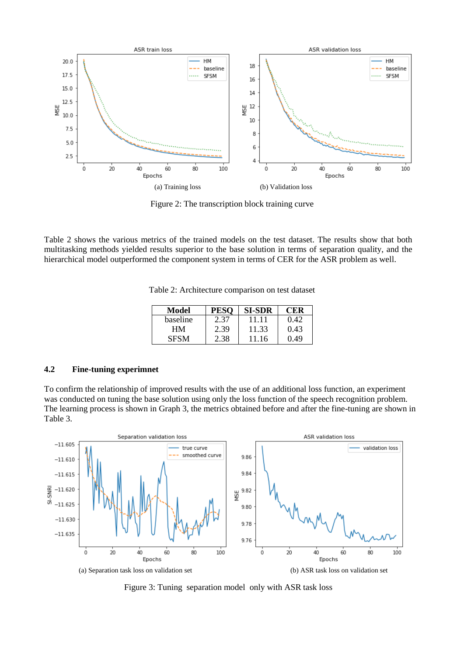

Figure 2: The transcription block training curve

Table 2 shows the various metrics of the trained models on the test dataset. The results show that both multitasking methods yielded results superior to the base solution in terms of separation quality, and the hierarchical model outperformed the component system in terms of CER for the ASR problem as well.

| Model       | PE.  | <b>SI-SDR</b> | <b>CER</b> |
|-------------|------|---------------|------------|
| baseline    | 2.37 | 11.11         | 0.42       |
| HМ          | 2.39 | 11.33         | 0.43       |
| <b>SESM</b> | 2.38 | 11 16         | 0.49       |

### **4.2 Fine-tuning experimnet**

To confirm the relationship of improved results with the use of an additional loss function, an experiment was conducted on tuning the base solution using only the loss function of the speech recognition problem. The learning process is shown in Graph 3, the metrics obtained before and after the fine-tuning are shown in Table 3.



Figure 3: Tuning separation model only with ASR task loss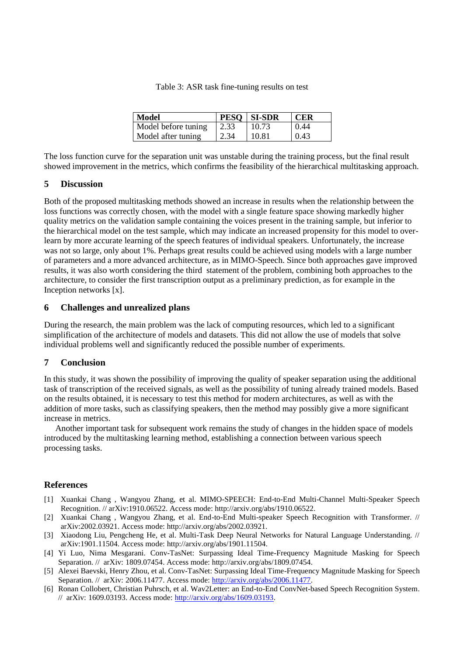Table 3: ASR task fine-tuning results on test

| Model               |      | PESO   SI-SDR | <b>CER</b> |
|---------------------|------|---------------|------------|
| Model before tuning | 2.33 | 10.73         | 0.44       |
| Model after tuning  | 2.34 | 10.81         | 0.43       |

The loss function curve for the separation unit was unstable during the training process, but the final result showed improvement in the metrics, which confirms the feasibility of the hierarchical multitasking approach.

## **5 Discussion**

Both of the proposed multitasking methods showed an increase in results when the relationship between the loss functions was correctly chosen, with the model with a single feature space showing markedly higher quality metrics on the validation sample containing the voices present in the training sample, but inferior to the hierarchical model on the test sample, which may indicate an increased propensity for this model to overlearn by more accurate learning of the speech features of individual speakers. Unfortunately, the increase was not so large, only about 1%. Perhaps great results could be achieved using models with a large number of parameters and a more advanced architecture, as in MIMO-Speech. Since both approaches gave improved results, it was also worth considering the third statement of the problem, combining both approaches to the architecture, to consider the first transcription output as a preliminary prediction, as for example in the Inception networks [x].

## **6 Challenges and unrealized plans**

During the research, the main problem was the lack of computing resources, which led to a significant simplification of the architecture of models and datasets. This did not allow the use of models that solve individual problems well and significantly reduced the possible number of experiments.

## **7 Conclusion**

In this study, it was shown the possibility of improving the quality of speaker separation using the additional task of transcription of the received signals, as well as the possibility of tuning already trained models. Based on the results obtained, it is necessary to test this method for modern architectures, as well as with the addition of more tasks, such as classifying speakers, then the method may possibly give a more significant increase in metrics.

Another important task for subsequent work remains the study of changes in the hidden space of models introduced by the multitasking learning method, establishing a connection between various speech processing tasks.

### **References**

- [1] Xuankai Chang , Wangyou Zhang, et al. MIMO-SPEECH: End-to-End Multi-Channel Multi-Speaker Speech Recognition. // arXiv:1910.06522. Access mode: http://arxiv.org/abs/1910.06522.
- [2] Xuankai Chang , Wangyou Zhang, et al. End-to-End Multi-speaker Speech Recognition with Transformer. // arXiv:2002.03921. Access mode: http://arxiv.org/abs/2002.03921.
- [3] Xiaodong Liu, Pengcheng He, et al. Multi-Task Deep Neural Networks for Natural Language Understanding. // arXiv:1901.11504. Access mode: http://arxiv.org/abs/1901.11504.
- [4] Yi Luo, Nima Mesgarani. Conv-TasNet: Surpassing Ideal Time-Frequency Magnitude Masking for Speech Separation. // arXiv: 1809.07454. Access mode: http://arxiv.org/abs/1809.07454.
- [5] Alexei Baevski, Henry Zhou, et al. Conv-TasNet: Surpassing Ideal Time-Frequency Magnitude Masking for Speech Separation. // arXiv: 2006.11477. Access mode: [http://arxiv.org/abs/2006.11477.](http://arxiv.org/abs/2006.11477)
- [6] Ronan Collobert, Christian Puhrsch, et al. Wav2Letter: an End-to-End ConvNet-based Speech Recognition System. // arXiv: 1609.03193. Access mode: [http://arxiv.org/abs/1609.03193.](http://arxiv.org/abs/2006.11477)